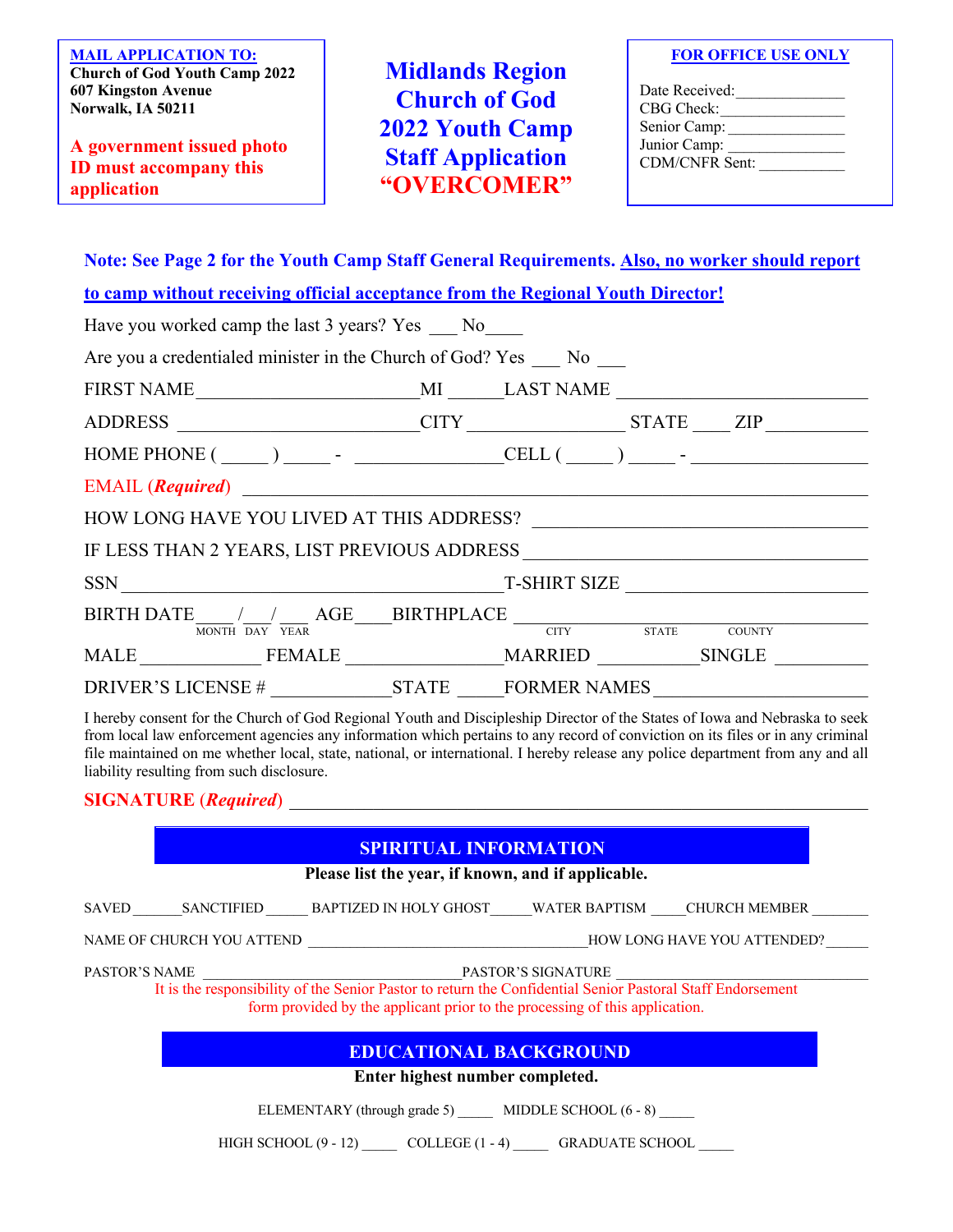**MAIL APPLICATION TO: Church of God Youth Camp 2022 607 Kingston Avenue Norwalk, IA 50211**

**A government issued photo ID must accompany this application**

**Midlands Region Church of God 2022 Youth Camp Staff Application "OVERCOMER"**

| <b>FOR OFFICE USE ONLY</b> |
|----------------------------|
|----------------------------|

| Date Received: |  |
|----------------|--|
| CBG Check:     |  |
| Senior Camp:   |  |
| Junior Camp:   |  |
| CDM/CNFR Sent: |  |
|                |  |

**Note: See Page 2 for the Youth Camp Staff General Requirements. Also, no worker should report** 

| to camp without receiving official acceptance from the Regional Youth Director!                                                                                                                                                                          |  |  |  |
|----------------------------------------------------------------------------------------------------------------------------------------------------------------------------------------------------------------------------------------------------------|--|--|--|
| Have you worked camp the last 3 years? Yes No                                                                                                                                                                                                            |  |  |  |
| Are you a credentialed minister in the Church of God? Yes No                                                                                                                                                                                             |  |  |  |
|                                                                                                                                                                                                                                                          |  |  |  |
| ADDRESS _____________________CITY ________________STATE _____ ZIP _______________                                                                                                                                                                        |  |  |  |
|                                                                                                                                                                                                                                                          |  |  |  |
|                                                                                                                                                                                                                                                          |  |  |  |
|                                                                                                                                                                                                                                                          |  |  |  |
|                                                                                                                                                                                                                                                          |  |  |  |
|                                                                                                                                                                                                                                                          |  |  |  |
| $\text{BIRTH}\ \text{DATE} \underset{\text{MONTTI}}{\underbrace{\phantom{MONTT}}\xrightarrow{\phantom{MONTT}}\xrightarrow{\phantom{MONTT}}\xrightarrow{\phantom{MONTT}}\text{AGE}\ \text{BRTHPLACE}\ \text{CTTY}\qquad \text{STATE}\qquad \text{COUNTY}$ |  |  |  |
|                                                                                                                                                                                                                                                          |  |  |  |
| MALE FEMALE MARRIED SINGLE                                                                                                                                                                                                                               |  |  |  |
| DRIVER'S LICENSE # STATE FORMER NAMES                                                                                                                                                                                                                    |  |  |  |

I hereby consent for the Church of God Regional Youth and Discipleship Director of the States of Iowa and Nebraska to seek from local law enforcement agencies any information which pertains to any record of conviction on its files or in any criminal file maintained on me whether local, state, national, or international. I hereby release any police department from any and all liability resulting from such disclosure.

#### **SIGNATURE** (*Required*)

### **SPIRITUAL INFORMATION**

**Please list the year, if known, and if applicable.**

| <b>SAVED</b> | SANCTIFIED | BAPTIZED IN HOLY GHOST | WATER BAPTISM | <b>CHURCH MEMBER</b> |
|--------------|------------|------------------------|---------------|----------------------|
|              |            |                        |               |                      |

NAME OF CHURCH YOU ATTEND \_\_\_\_\_\_\_\_\_\_\_\_\_\_\_\_\_\_\_\_\_\_\_\_\_\_\_\_\_\_\_\_\_\_\_\_\_\_\_\_HOW LONG HAVE YOU ATTENDED?\_\_\_\_\_\_

PASTOR'S NAME \_\_\_\_\_\_\_\_\_\_\_\_\_\_\_\_\_\_\_\_\_\_\_\_\_\_\_\_\_\_\_\_\_\_\_\_\_PASTOR'S SIGNATURE \_\_\_\_\_\_\_\_\_\_\_\_\_\_\_\_\_\_\_\_\_\_\_\_\_\_\_\_\_\_\_\_\_\_\_\_

It is the responsibility of the Senior Pastor to return the Confidential Senior Pastoral Staff Endorsement form provided by the applicant prior to the processing of this application.

## **EDUCATIONAL BACKGROUND**

**Enter highest number completed.**

ELEMENTARY (through grade 5) \_\_\_\_\_\_ MIDDLE SCHOOL (6 - 8) \_\_\_\_\_

HIGH SCHOOL (9 - 12) \_\_\_\_\_\_ COLLEGE (1 - 4) \_\_\_\_\_\_ GRADUATE SCHOOL \_\_\_\_\_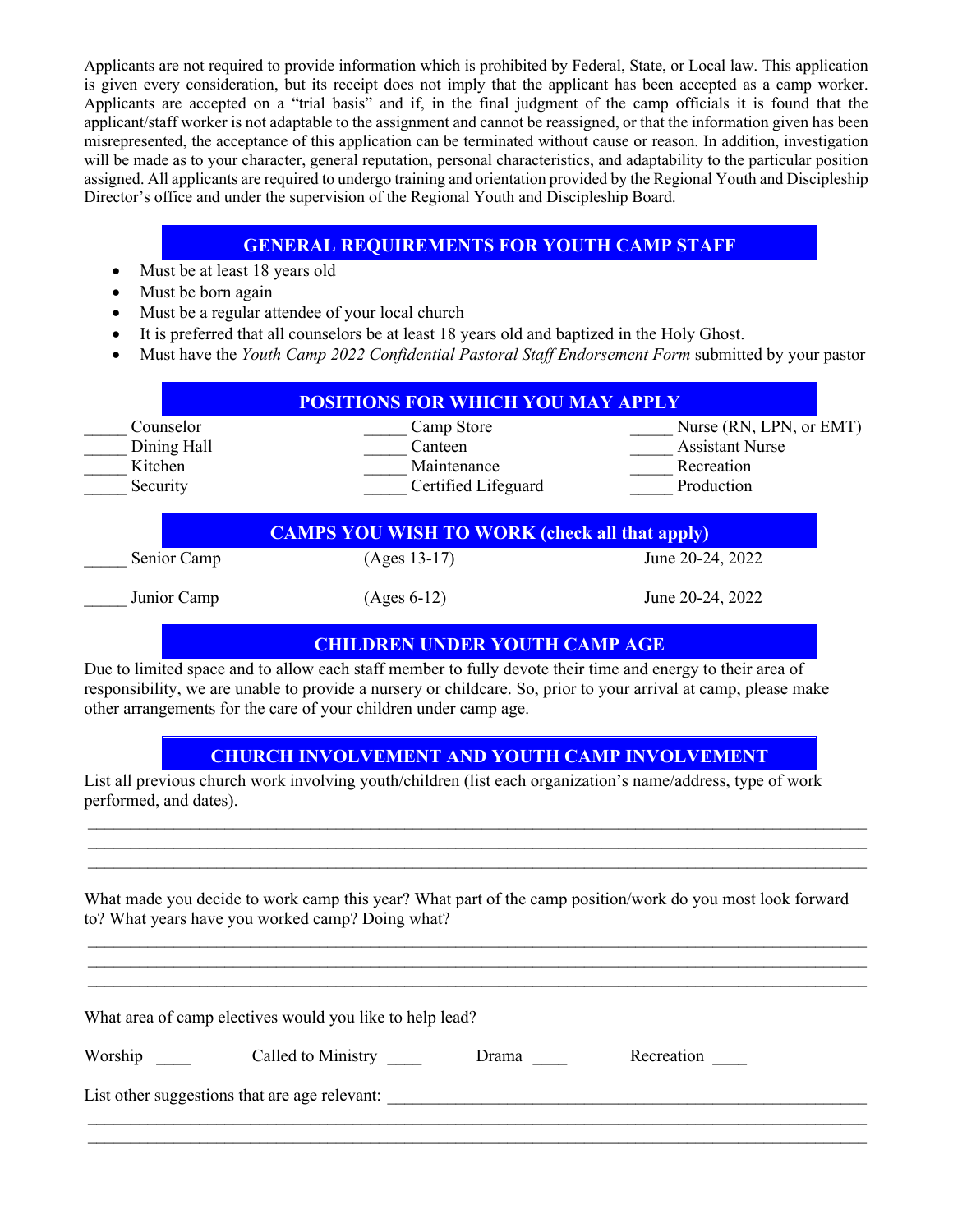Applicants are not required to provide information which is prohibited by Federal, State, or Local law. This application is given every consideration, but its receipt does not imply that the applicant has been accepted as a camp worker. Applicants are accepted on a "trial basis" and if, in the final judgment of the camp officials it is found that the applicant/staff worker is not adaptable to the assignment and cannot be reassigned, or that the information given has been misrepresented, the acceptance of this application can be terminated without cause or reason. In addition, investigation will be made as to your character, general reputation, personal characteristics, and adaptability to the particular position assigned. All applicants are required to undergo training and orientation provided by the Regional Youth and Discipleship Director's office and under the supervision of the Regional Youth and Discipleship Board.

### **GENERAL REQUIREMENTS FOR YOUTH CAMP STAFF**

- Must be at least 18 years old
- Must be born again
- Must be a regular attendee of your local church
- It is preferred that all counselors be at least 18 years old and baptized in the Holy Ghost.
- Must have the *Youth Camp 2022 Confidential Pastoral Staff Endorsement Form* submitted by your pastor

| Counselor   | Camp Store                                           | Nurse (RN, LPN, or EMT) |
|-------------|------------------------------------------------------|-------------------------|
| Dining Hall | Canteen                                              | <b>Assistant Nurse</b>  |
| Kitchen     | Maintenance                                          | Recreation              |
| Security    | Certified Lifeguard                                  | Production              |
|             |                                                      |                         |
|             | <b>CAMPS YOU WISH TO WORK (check all that apply)</b> |                         |
| Senior Camp | $(Ages 13-17)$                                       | June 20-24, 2022        |

### **CHILDREN UNDER YOUTH CAMP AGE**

Due to limited space and to allow each staff member to fully devote their time and energy to their area of responsibility, we are unable to provide a nursery or childcare. So, prior to your arrival at camp, please make other arrangements for the care of your children under camp age.

## **CHURCH INVOLVEMENT AND YOUTH CAMP INVOLVEMENT**

 $\mathcal{L}_\mathcal{L} = \mathcal{L}_\mathcal{L} = \mathcal{L}_\mathcal{L} = \mathcal{L}_\mathcal{L} = \mathcal{L}_\mathcal{L} = \mathcal{L}_\mathcal{L} = \mathcal{L}_\mathcal{L} = \mathcal{L}_\mathcal{L} = \mathcal{L}_\mathcal{L} = \mathcal{L}_\mathcal{L} = \mathcal{L}_\mathcal{L} = \mathcal{L}_\mathcal{L} = \mathcal{L}_\mathcal{L} = \mathcal{L}_\mathcal{L} = \mathcal{L}_\mathcal{L} = \mathcal{L}_\mathcal{L} = \mathcal{L}_\mathcal{L}$  $\mathcal{L}_\mathcal{L} = \mathcal{L}_\mathcal{L} = \mathcal{L}_\mathcal{L} = \mathcal{L}_\mathcal{L} = \mathcal{L}_\mathcal{L} = \mathcal{L}_\mathcal{L} = \mathcal{L}_\mathcal{L} = \mathcal{L}_\mathcal{L} = \mathcal{L}_\mathcal{L} = \mathcal{L}_\mathcal{L} = \mathcal{L}_\mathcal{L} = \mathcal{L}_\mathcal{L} = \mathcal{L}_\mathcal{L} = \mathcal{L}_\mathcal{L} = \mathcal{L}_\mathcal{L} = \mathcal{L}_\mathcal{L} = \mathcal{L}_\mathcal{L}$  $\mathcal{L}_\mathcal{L} = \mathcal{L}_\mathcal{L} = \mathcal{L}_\mathcal{L} = \mathcal{L}_\mathcal{L} = \mathcal{L}_\mathcal{L} = \mathcal{L}_\mathcal{L} = \mathcal{L}_\mathcal{L} = \mathcal{L}_\mathcal{L} = \mathcal{L}_\mathcal{L} = \mathcal{L}_\mathcal{L} = \mathcal{L}_\mathcal{L} = \mathcal{L}_\mathcal{L} = \mathcal{L}_\mathcal{L} = \mathcal{L}_\mathcal{L} = \mathcal{L}_\mathcal{L} = \mathcal{L}_\mathcal{L} = \mathcal{L}_\mathcal{L}$ 

List all previous church work involving youth/children (list each organization's name/address, type of work performed, and dates).

What made you decide to work camp this year? What part of the camp position/work do you most look forward to? What years have you worked camp? Doing what?

 $\mathcal{L}_\mathcal{L} = \mathcal{L}_\mathcal{L} = \mathcal{L}_\mathcal{L} = \mathcal{L}_\mathcal{L} = \mathcal{L}_\mathcal{L} = \mathcal{L}_\mathcal{L} = \mathcal{L}_\mathcal{L} = \mathcal{L}_\mathcal{L} = \mathcal{L}_\mathcal{L} = \mathcal{L}_\mathcal{L} = \mathcal{L}_\mathcal{L} = \mathcal{L}_\mathcal{L} = \mathcal{L}_\mathcal{L} = \mathcal{L}_\mathcal{L} = \mathcal{L}_\mathcal{L} = \mathcal{L}_\mathcal{L} = \mathcal{L}_\mathcal{L}$ 

 $\mathcal{L}_\mathcal{L} = \mathcal{L}_\mathcal{L} = \mathcal{L}_\mathcal{L} = \mathcal{L}_\mathcal{L} = \mathcal{L}_\mathcal{L} = \mathcal{L}_\mathcal{L} = \mathcal{L}_\mathcal{L} = \mathcal{L}_\mathcal{L} = \mathcal{L}_\mathcal{L} = \mathcal{L}_\mathcal{L} = \mathcal{L}_\mathcal{L} = \mathcal{L}_\mathcal{L} = \mathcal{L}_\mathcal{L} = \mathcal{L}_\mathcal{L} = \mathcal{L}_\mathcal{L} = \mathcal{L}_\mathcal{L} = \mathcal{L}_\mathcal{L}$ What area of camp electives would you like to help lead? Worship Called to Ministry Drama Recreation Recreation List other suggestions that are age relevant:  $\blacksquare$  $\mathcal{L}_\mathcal{L} = \mathcal{L}_\mathcal{L} = \mathcal{L}_\mathcal{L} = \mathcal{L}_\mathcal{L} = \mathcal{L}_\mathcal{L} = \mathcal{L}_\mathcal{L} = \mathcal{L}_\mathcal{L} = \mathcal{L}_\mathcal{L} = \mathcal{L}_\mathcal{L} = \mathcal{L}_\mathcal{L} = \mathcal{L}_\mathcal{L} = \mathcal{L}_\mathcal{L} = \mathcal{L}_\mathcal{L} = \mathcal{L}_\mathcal{L} = \mathcal{L}_\mathcal{L} = \mathcal{L}_\mathcal{L} = \mathcal{L}_\mathcal{L}$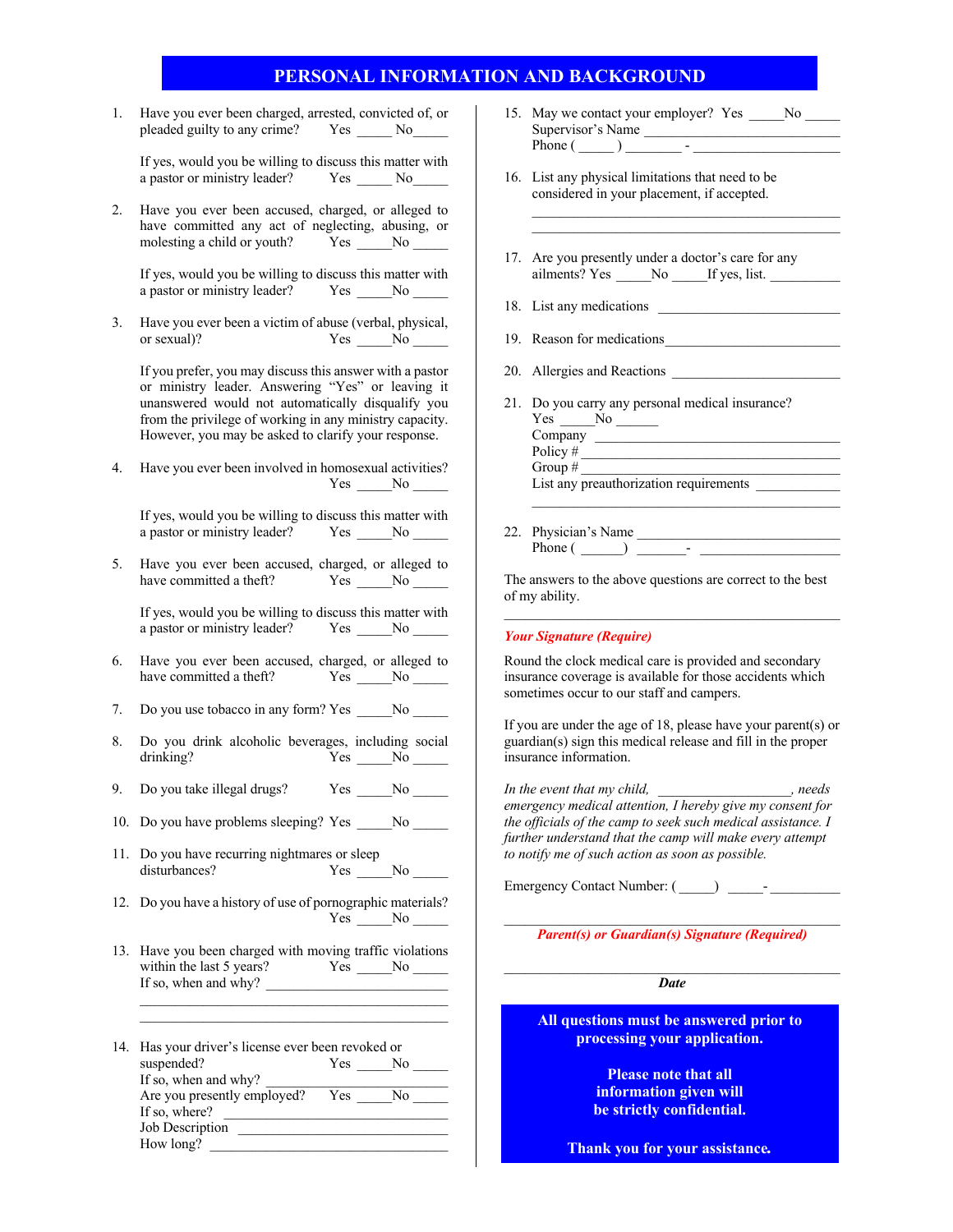|    |                                                                                                                                                                                                                                                                                      | PERSONAL INFORMATION AND BACKGROUND                                                                                                                              |
|----|--------------------------------------------------------------------------------------------------------------------------------------------------------------------------------------------------------------------------------------------------------------------------------------|------------------------------------------------------------------------------------------------------------------------------------------------------------------|
| 1. | Have you ever been charged, arrested, convicted of, or<br>pleaded guilty to any crime? Yes ______ No______                                                                                                                                                                           | 15. May we contact your employer? Yes _______ No ______<br>Supervisor's Name<br>Phone $(\_\_)$ $\_\_$                                                            |
|    | If yes, would you be willing to discuss this matter with<br>a pastor or ministry leader? Yes _______ No_______                                                                                                                                                                       | 16. List any physical limitations that need to be<br>considered in your placement, if accepted.                                                                  |
| 2. | Have you ever been accused, charged, or alleged to<br>have committed any act of neglecting, abusing, or<br>molesting a child or youth? Yes No No No                                                                                                                                  |                                                                                                                                                                  |
|    | If yes, would you be willing to discuss this matter with<br>a pastor or ministry leader? Yes _____No _____                                                                                                                                                                           | 17. Are you presently under a doctor's care for any                                                                                                              |
| 3. | Have you ever been a victim of abuse (verbal, physical,<br>or sexual)?<br>$Yes \_\_No \_\_$                                                                                                                                                                                          |                                                                                                                                                                  |
|    | If you prefer, you may discuss this answer with a pastor<br>or ministry leader. Answering "Yes" or leaving it<br>unanswered would not automatically disqualify you<br>from the privilege of working in any ministry capacity.<br>However, you may be asked to clarify your response. | 20. Allergies and Reactions<br>21. Do you carry any personal medical insurance?<br>$Yes \_\_No \_\_$<br>Policy $#$                                               |
| 4. | Have you ever been involved in homosexual activities?<br>$Yes \_\_No \_\_$                                                                                                                                                                                                           | List any preauthorization requirements                                                                                                                           |
|    | If yes, would you be willing to discuss this matter with<br>a pastor or ministry leader? Yes _____No ______                                                                                                                                                                          |                                                                                                                                                                  |
| 5. | Have you ever been accused, charged, or alleged to<br>have committed a theft? Yes No No                                                                                                                                                                                              | The answers to the above questions are correct to the best<br>of my ability.                                                                                     |
|    | If yes, would you be willing to discuss this matter with<br>a pastor or ministry leader? Yes _____No _____                                                                                                                                                                           | <b>Your Signature (Require)</b>                                                                                                                                  |
| 6. | Have you ever been accused, charged, or alleged to<br>have committed a theft? Yes No No                                                                                                                                                                                              | Round the clock medical care is provided and secondary<br>insurance coverage is available for those accidents which<br>sometimes occur to our staff and campers. |
| 7. | Do you use tobacco in any form? Yes ______No ______                                                                                                                                                                                                                                  | If you are under the age of 18, please have your parent(s) or                                                                                                    |
| 8. | Do you drink alcoholic beverages, including social<br>drinking? Yes No                                                                                                                                                                                                               | guardian(s) sign this medical release and fill in the proper<br>insurance information.                                                                           |
| 9. | Do you take illegal drugs?<br>Yes No                                                                                                                                                                                                                                                 | In the event that my child, _______________, needs<br>emergency medical attention, I hereby give my consent for                                                  |
|    | 10. Do you have problems sleeping? Yes _______ No ______                                                                                                                                                                                                                             | the officials of the camp to seek such medical assistance. I<br>further understand that the camp will make every attempt                                         |
|    | 11. Do you have recurring nightmares or sleep<br>disturbances?<br>$Yes \_\_No \_\_$                                                                                                                                                                                                  | to notify me of such action as soon as possible.                                                                                                                 |
|    | 12. Do you have a history of use of pornographic materials?<br>$Yes \_ No \_$                                                                                                                                                                                                        |                                                                                                                                                                  |
|    | 13. Have you been charged with moving traffic violations<br>within the last 5 years? Yes $\_\_$ No $\_\_$<br>If so, when and why?                                                                                                                                                    | <b>Parent(s) or Guardian(s) Signature (Required)</b><br><b>Date</b>                                                                                              |
|    | <u> 1989 - Johann Stoff, amerikansk politiker (* 1908)</u>                                                                                                                                                                                                                           |                                                                                                                                                                  |
|    | 14. Has your driver's license ever been revoked or                                                                                                                                                                                                                                   | All questions must be answered prior to<br>processing your application.                                                                                          |
|    | suspended?<br>$Yes \_\_No \_\_$                                                                                                                                                                                                                                                      | <b>Please note that all</b>                                                                                                                                      |
|    | If so, where? $\qquad \qquad$<br>Job Description                                                                                                                                                                                                                                     | information given will<br>be strictly confidential.                                                                                                              |
|    |                                                                                                                                                                                                                                                                                      | Thank you for your assistance.                                                                                                                                   |